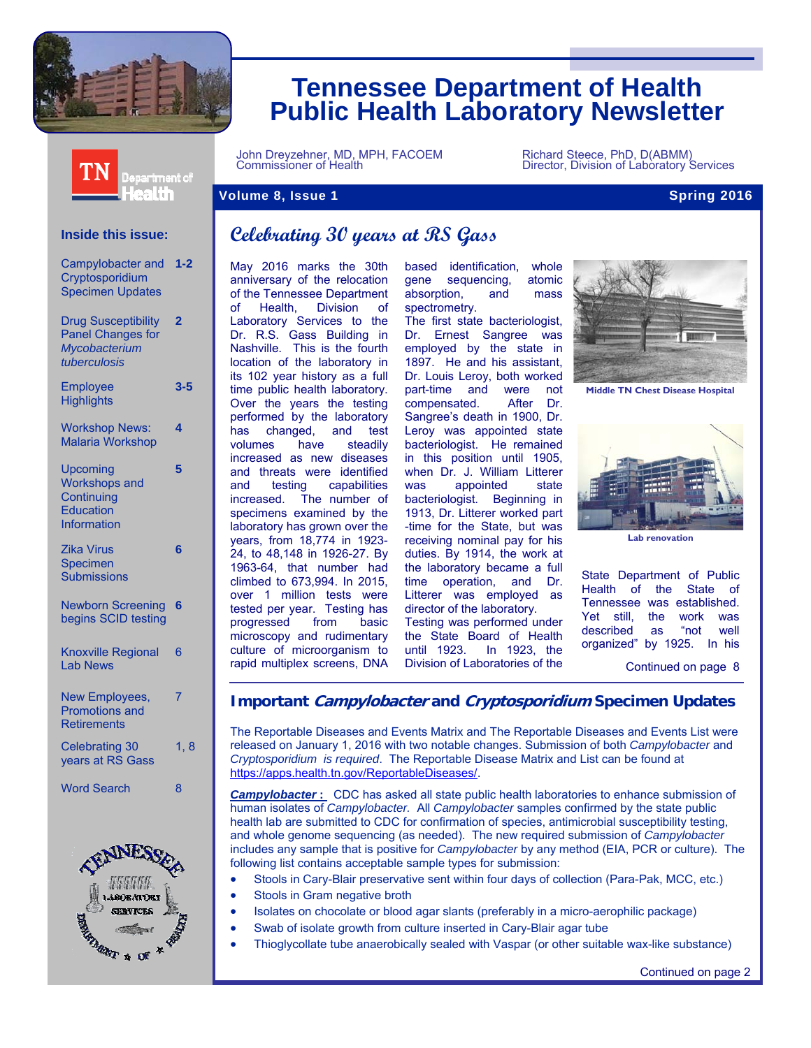

ealth

# **Tennessee Department of Health Public Health Laboratory Newsletter**

Department of

John Dreyzehner, MD, MPH, FACOEM Richard Steece, PhD, D(ABMM) Commissioner of Health Director, Division of Laboratory Services

#### **Volume 8, Issue 1** Spring 2016 **Spring 2016**

#### **Inside this issue:**

| Campylobacter and<br>Cryptosporidium<br><b>Specimen Updates</b>                         | 1-2            |
|-----------------------------------------------------------------------------------------|----------------|
| <b>Drug Susceptibility</b><br><b>Panel Changes for</b><br>Mycobacterium<br>tuberculosis | $\overline{2}$ |
| <b>Employee</b><br><b>Highlights</b>                                                    | $3 - 5$        |
| <b>Workshop News:</b><br><b>Malaria Workshop</b>                                        | 4              |
| Upcoming<br><b>Workshops and</b><br>Continuing<br>Education<br>Information              | 5              |
| Zika Virus<br>Specimen<br>Submissions                                                   | 6              |
| <b>Newborn Screening</b><br>begins SCID testing                                         | 6              |
| <b>Knoxville Regional</b><br><b>Lab News</b>                                            | 6              |
| New Employees,<br><b>Promotions and</b><br><b>Retirements</b>                           | 7              |
| <b>Celebrating 30</b><br>years at RS Gass                                               | 1, 8           |
| <b>Word Search</b>                                                                      | 8              |
| <b>TNIFC</b>                                                                            |                |



# **Celebrating 30 years at RS Gass**

May 2016 marks the 30th anniversary of the relocation of the Tennessee Department of Health, Division of Laboratory Services to the Dr. R.S. Gass Building in Nashville. This is the fourth location of the laboratory in its 102 year history as a full time public health laboratory. Over the years the testing performed by the laboratory has changed, and test volumes have steadily increased as new diseases and threats were identified and testing capabilities increased. The number of specimens examined by the laboratory has grown over the years, from 18,774 in 1923- 24, to 48,148 in 1926-27. By 1963-64, that number had climbed to 673,994. In 2015, over 1 million tests were tested per year. Testing has progressed from basic microscopy and rudimentary culture of microorganism to rapid multiplex screens, DNA based identification, whole gene sequencing, atomic absorption, and mass spectrometry.

The first state bacteriologist, Dr. Ernest Sangree was employed by the state in 1897. He and his assistant, Dr. Louis Leroy, both worked part-time and were not compensated. After Dr. Sangree's death in 1900, Dr. Leroy was appointed state bacteriologist. He remained in this position until 1905, when Dr. J. William Litterer was appointed state bacteriologist. Beginning in 1913, Dr. Litterer worked part -time for the State, but was receiving nominal pay for his duties. By 1914, the work at the laboratory became a full time operation, and Dr. Litterer was employed as director of the laboratory. Testing was performed under the State Board of Health until 1923. In 1923, the



**Middle TN Chest Disease Hospital** 



**Lab renovation** 

State Department of Public Health of the State of Tennessee was established. Yet still, the work was described as "not well organized" by 1925. In his

Continued on page 8

#### **Important Campylobacter and Cryptosporidium Specimen Updates**

Division of Laboratories of the

The Reportable Diseases and Events Matrix and The Reportable Diseases and Events List were released on January 1, 2016 with two notable changes. Submission of both *Campylobacter* and *Cryptosporidium is required*. The Reportable Disease Matrix and List can be found at https://apps.health.tn.gov/ReportableDiseases/.

*Campylobacter* **:** CDC has asked all state public health laboratories to enhance submission of human isolates of *Campylobacter.* All *Campylobacter* samples confirmed by the state public health lab are submitted to CDC for confirmation of species, antimicrobial susceptibility testing, and whole genome sequencing (as needed). The new required submission of *Campylobacter* includes any sample that is positive for *Campylobacter* by any method (EIA, PCR or culture). The following list contains acceptable sample types for submission:

- Stools in Cary-Blair preservative sent within four days of collection (Para-Pak, MCC, etc.)
- Stools in Gram negative broth
- Isolates on chocolate or blood agar slants (preferably in a micro-aerophilic package)
- Swab of isolate growth from culture inserted in Cary-Blair agar tube
- Thioglycollate tube anaerobically sealed with Vaspar (or other suitable wax-like substance)

Continued on page 2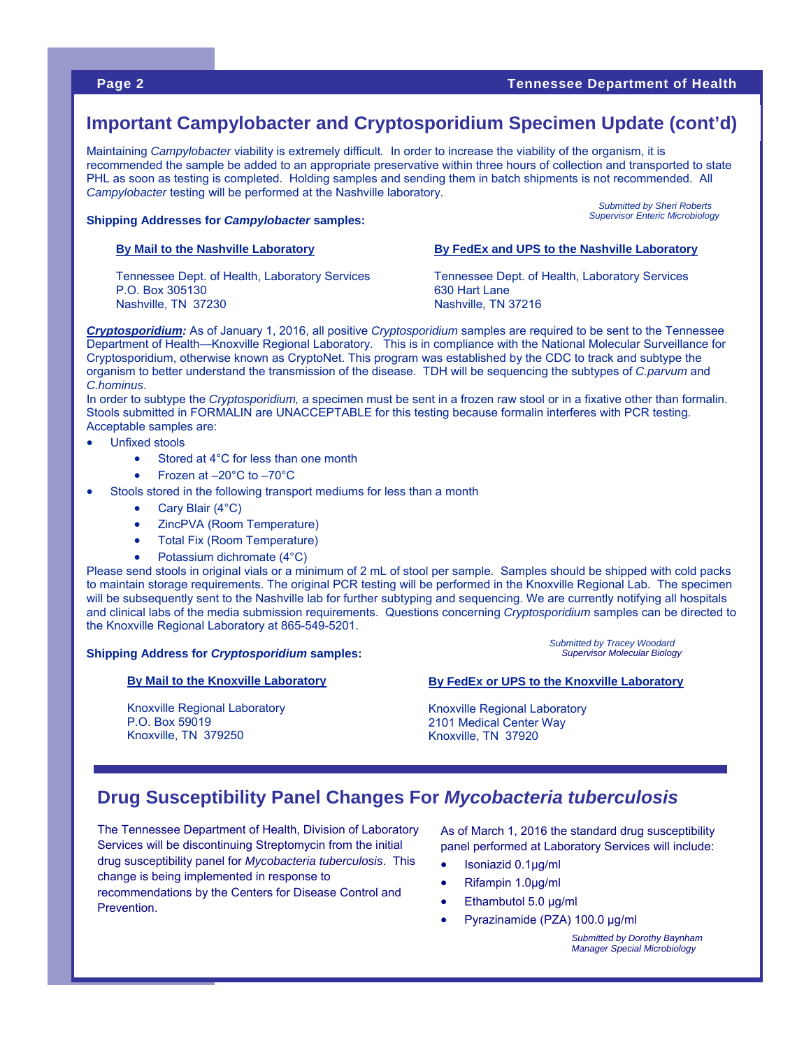**Submitted by Sheri Roberts** *Supervisor Enteric Microbiology* 

## **Important Campylobacter and Cryptosporidium Specimen Update (cont'd)**

Maintaining *Campylobacter* viability is extremely difficult*.* In order to increase the viability of the organism, it is recommended the sample be added to an appropriate preservative within three hours of collection and transported to state PHL as soon as testing is completed. Holding samples and sending them in batch shipments is not recommended. All *Campylobacter* testing will be performed at the Nashville laboratory.

#### **Shipping Addresses for** *Campylobacter* **samples:**

#### **By Mail to the Nashville Laboratory**

Tennessee Dept. of Health, Laboratory Services P.O. Box 305130 Nashville, TN 37230

Tennessee Dept. of Health, Laboratory Services 630 Hart Lane Nashville, TN 37216

**By FedEx and UPS to the Nashville Laboratory** 

*Cryptosporidium:* As of January 1, 2016, all positive *Cryptosporidium* samples are required to be sent to the Tennessee Department of Health—Knoxville Regional Laboratory. This is in compliance with the National Molecular Surveillance for Cryptosporidium, otherwise known as CryptoNet. This program was established by the CDC to track and subtype the organism to better understand the transmission of the disease. TDH will be sequencing the subtypes of *C.parvum* and *C.hominus*.

In order to subtype the *Cryptosporidium,* a specimen must be sent in a frozen raw stool or in a fixative other than formalin. Stools submitted in FORMALIN are UNACCEPTABLE for this testing because formalin interferes with PCR testing. Acceptable samples are:

- Unfixed stools
	- Stored at 4°C for less than one month
	- Frozen at –20°C to –70°C
- Stools stored in the following transport mediums for less than a month
	- Cary Blair (4°C)

Knoxville, TN 379250

- ZincPVA (Room Temperature)
- Total Fix (Room Temperature)
- Potassium dichromate (4°C)

Please send stools in original vials or a minimum of 2 mL of stool per sample. Samples should be shipped with cold packs to maintain storage requirements. The original PCR testing will be performed in the Knoxville Regional Lab. The specimen will be subsequently sent to the Nashville lab for further subtyping and sequencing. We are currently notifying all hospitals and clinical labs of the media submission requirements. Questions concerning *Cryptosporidium* samples can be directed to the Knoxville Regional Laboratory at 865-549-5201.

#### **Shipping Address for** *Cryptosporidium* **samples:**

#### **By Mail to the Knoxville Laboratory**

Knoxville Regional Laboratory P.O. Box 59019

#### **Submitted by Tracey Woodard** *Supervisor Molecular Biology*

#### **By FedEx or UPS to the Knoxville Laboratory**

Knoxville Regional Laboratory 2101 Medical Center Way Knoxville, TN 37920

## **Drug Susceptibility Panel Changes For** *Mycobacteria tuberculosis*

The Tennessee Department of Health, Division of Laboratory Services will be discontinuing Streptomycin from the initial drug susceptibility panel for *Mycobacteria tuberculosis*. This change is being implemented in response to recommendations by the Centers for Disease Control and Prevention.

As of March 1, 2016 the standard drug susceptibility panel performed at Laboratory Services will include:

- Isoniazid 0.1μg/ml
- Rifampin 1.0μg/ml
- Ethambutol 5.0 μg/ml
- Pyrazinamide (PZA) 100.0 μg/ml

*Submitted by Dorothy Baynham Manager Special Microbiology*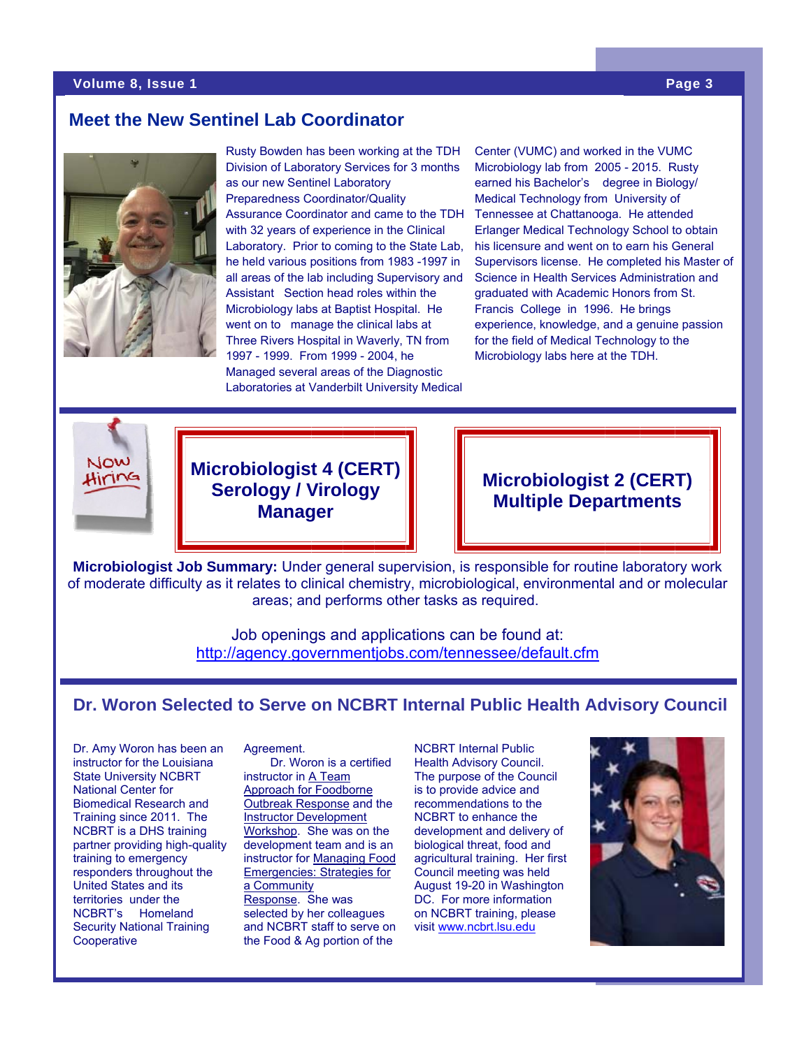#### **Volume 8, Issue 1 Page 3**

## **Meet the New Sentinel Lab Coordinator**



Rusty Bowden has been working at the TDH Division of Laboratory Services for 3 months as our new Sentinel Laboratory Preparedness Coordinator/Quality Assurance Coordinator and came to the TDH with 32 years of experience in the Clinical Laboratory. Prior to coming to the State Lab, he held various positions from 1983 -1997 in all areas of the lab including Supervisory and Assistant Section head roles within the Microbiology labs at Baptist Hospital. He went on to manage the clinical labs at Three Rivers Hospital in Waverly, TN from 1997 - 1999. From 1999 - 2004, he Managed several areas of the Diagnostic Laboratories at Vanderbilt University Medical

Center (VUMC) and worked in the VUMC Microbiology lab from 2005 - 2015. Rusty earned his Bachelor's degree in Biology/ Medical Technology from University of Tennessee at Chattanooga. He attended Erlanger Medical Technology School to obtain his licensure and went on to earn his General Supervisors license. He completed his Master of Science in Health Services Administration and graduated with Academic Honors from St. Francis College in 1996. He brings experience, knowledge, and a genuine passion for the field of Medical Technology to the Microbiology labs here at the TDH.



**Microbiologist 4 (CERT) Serology / Virology Manager**

## **Microbiologist 2 (CERT) Multiple Departments**

**Microbiologist Job Summary:** Under general supervision, is responsible for routine laboratory work of moderate difficulty as it relates to clinical chemistry, microbiological, environmental and or molecular areas; and performs other tasks as required.

> Job openings and applications can be found at: http://agency.governmentjobs.com/tennessee/default.cfm

## **Dr. Woron Selected to Serve on NCBRT Internal Public Health Advisory Council**

Dr. Amy Woron has been an instructor for the Louisiana State University NCBRT National Center for Biomedical Research and Training since 2011. The NCBRT is a DHS training partner providing high-quality training to emergency responders throughout the United States and its territories under the NCBRT's Homeland Security National Training **Cooperative** 

#### Agreement.

 Dr. Woron is a certified instructor in A Team Approach for Foodborne Outbreak Response and the Instructor Development Workshop. She was on the development team and is an instructor for Managing Food Emergencies: Strategies for a Community Response. She was selected by her colleagues and NCBRT staff to serve on the Food & Ag portion of the

NCBRT Internal Public Health Advisory Council. The purpose of the Council is to provide advice and recommendations to the NCBRT to enhance the development and delivery of biological threat, food and agricultural training. Her first Council meeting was held August 19-20 in Washington DC. For more information on NCBRT training, please visit www.ncbrt.lsu.edu

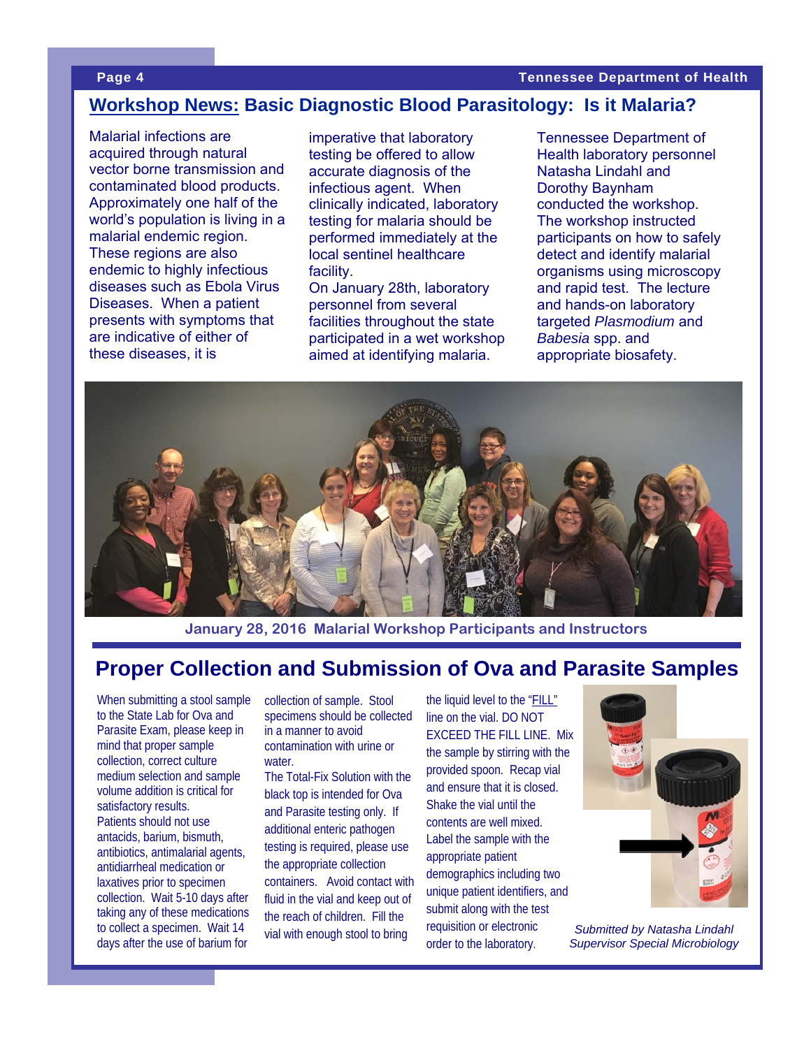## **Workshop News: Basic Diagnostic Blood Parasitology: Is it Malaria?**

Malarial infections are acquired through natural vector borne transmission and contaminated blood products. Approximately one half of the world's population is living in a malarial endemic region. These regions are also endemic to highly infectious diseases such as Ebola Virus Diseases. When a patient presents with symptoms that are indicative of either of these diseases, it is

imperative that laboratory testing be offered to allow accurate diagnosis of the infectious agent. When clinically indicated, laboratory testing for malaria should be performed immediately at the local sentinel healthcare facility.

On January 28th, laboratory personnel from several facilities throughout the state participated in a wet workshop aimed at identifying malaria.

Tennessee Department of Health laboratory personnel Natasha Lindahl and Dorothy Baynham conducted the workshop. The workshop instructed participants on how to safely detect and identify malarial organisms using microscopy and rapid test. The lecture and hands-on laboratory targeted *Plasmodium* and *Babesia* spp. and appropriate biosafety.



**January 28, 2016 Malarial Workshop Participants and Instructors** 

# **Proper Collection and Submission of Ova and Parasite Samples**

When submitting a stool sample to the State Lab for Ova and Parasite Exam, please keep in mind that proper sample collection, correct culture medium selection and sample volume addition is critical for satisfactory results. Patients should not use antacids, barium, bismuth, antibiotics, antimalarial agents, antidiarrheal medication or laxatives prior to specimen collection. Wait 5-10 days after taking any of these medications to collect a specimen. Wait 14 days after the use of barium for

collection of sample. Stool specimens should be collected in a manner to avoid contamination with urine or water. The Total-Fix Solution with the black top is intended for Ova and Parasite testing only. If additional enteric pathogen testing is required, please use the appropriate collection containers. Avoid contact with fluid in the vial and keep out of

the reach of children. Fill the vial with enough stool to bring line on the vial. DO NOT EXCEED THE FILL LINE. Mix the sample by stirring with the provided spoon. Recap vial and ensure that it is closed. Shake the vial until the contents are well mixed. Label the sample with the appropriate patient demographics including two unique patient identifiers, and submit along with the test requisition or electronic order to the laboratory.

the liquid level to the "FILL"



*Submitted by Natasha Lindahl Supervisor Special Microbiology*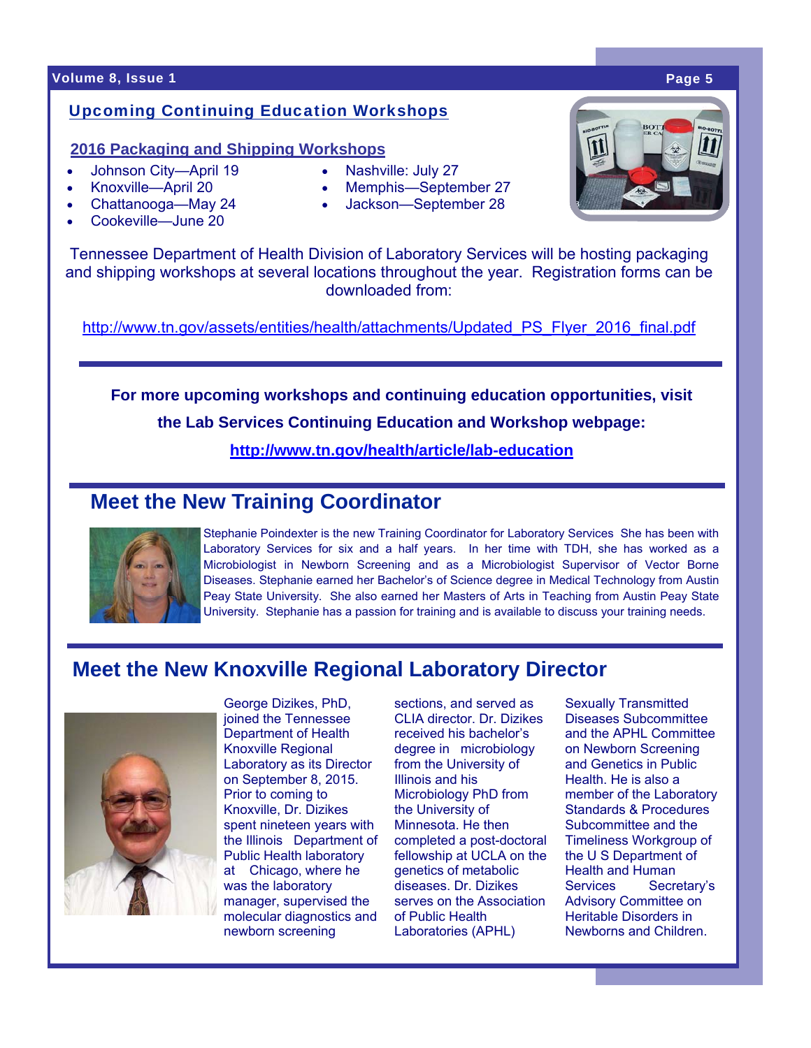### **Volume 8, Issue 1 Page 5**

### Upcoming Continuing Education Workshops

### **2016 Packaging and Shipping Workshops**

- Johnson City—April 19
- Knoxville—April 20
- Chattanooga—May 24
- Cookeville—June 20
- Nashville: July 27
- Memphis—September 27
- Jackson—September 28

Tennessee Department of Health Division of Laboratory Services will be hosting packaging and shipping workshops at several locations throughout the year. Registration forms can be downloaded from:

http://www.tn.gov/assets/entities/health/attachments/Updated\_PS\_Flyer\_2016\_final.pdf

**For more upcoming workshops and continuing education opportunities, visit the Lab Services Continuing Education and Workshop webpage:** 

**http://www.tn.gov/health/article/lab-education**

# **Meet the New Training Coordinator**



Stephanie Poindexter is the new Training Coordinator for Laboratory Services She has been with Laboratory Services for six and a half years. In her time with TDH, she has worked as a Microbiologist in Newborn Screening and as a Microbiologist Supervisor of Vector Borne Diseases. Stephanie earned her Bachelor's of Science degree in Medical Technology from Austin Peay State University. She also earned her Masters of Arts in Teaching from Austin Peay State University. Stephanie has a passion for training and is available to discuss your training needs.

# **Meet the New Knoxville Regional Laboratory Director**



George Dizikes, PhD, joined the Tennessee Department of Health Knoxville Regional Laboratory as its Director on September 8, 2015. Prior to coming to Knoxville, Dr. Dizikes spent nineteen years with the Illinois Department of Public Health laboratory at Chicago, where he was the laboratory manager, supervised the molecular diagnostics and newborn screening

sections, and served as CLIA director. Dr. Dizikes received his bachelor's degree in microbiology from the University of Illinois and his Microbiology PhD from the University of Minnesota. He then completed a post-doctoral fellowship at UCLA on the genetics of metabolic diseases. Dr. Dizikes serves on the Association of Public Health Laboratories (APHL)

Sexually Transmitted Diseases Subcommittee and the APHL Committee on Newborn Screening and Genetics in Public Health. He is also a member of the Laboratory Standards & Procedures Subcommittee and the Timeliness Workgroup of the U S Department of Health and Human Services Secretary's Advisory Committee on Heritable Disorders in Newborns and Children.

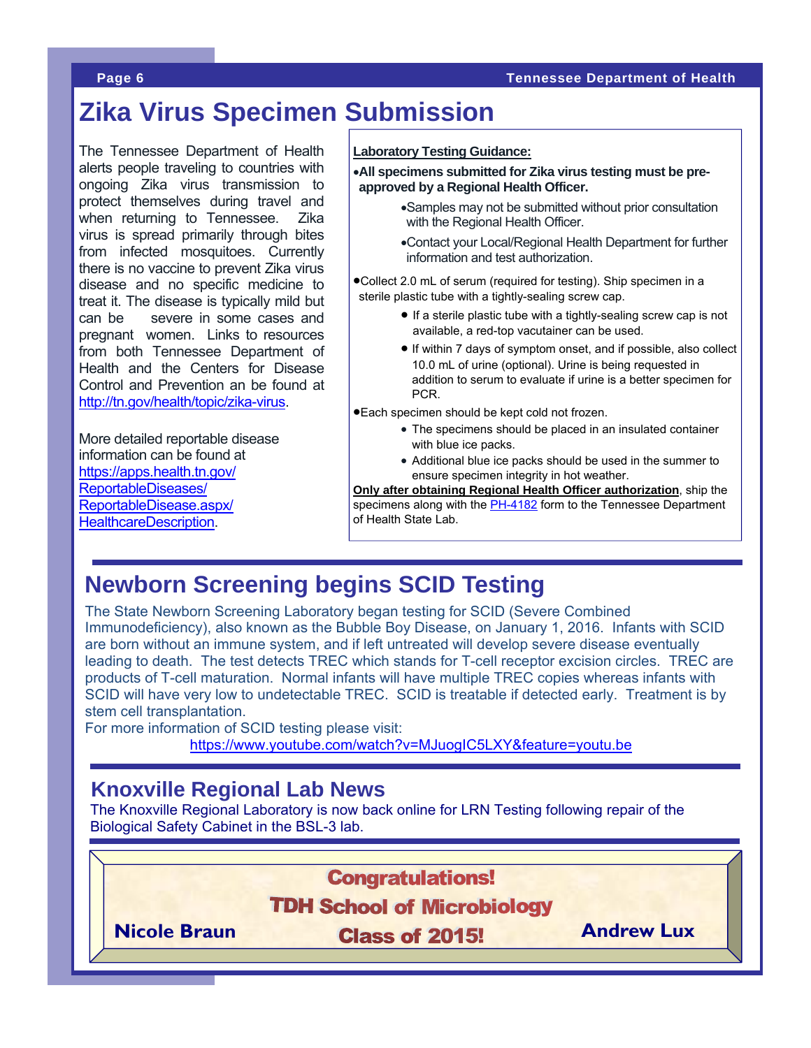### **Page 6 Tennessee Department of Health**

# **Zika Virus Specimen Submission**

The Tennessee Department of Health alerts people traveling to countries with ongoing Zika virus transmission to protect themselves during travel and when returning to Tennessee. Zika virus is spread primarily through bites from infected mosquitoes. Currently there is no vaccine to prevent Zika virus disease and no specific medicine to treat it. The disease is typically mild but can be severe in some cases and pregnant women. Links to resources from both Tennessee Department of Health and the Centers for Disease Control and Prevention an be found at http://tn.gov/health/topic/zika-virus.

More detailed reportable disease information can be found at https://apps.health.tn.gov/ ReportableDiseases/ ReportableDisease.aspx/ HealthcareDescription.

### **Laboratory Testing Guidance:**

**All specimens submitted for Zika virus testing must be preapproved by a Regional Health Officer.** 

- Samples may not be submitted without prior consultation with the Regional Health Officer.
- Contact your Local/Regional Health Department for further information and test authorization.

Collect 2.0 mL of serum (required for testing). Ship specimen in a sterile plastic tube with a tightly-sealing screw cap.

- $\bullet$  If a sterile plastic tube with a tightly-sealing screw cap is not available, a red-top vacutainer can be used.
- If within 7 days of symptom onset, and if possible, also collect 10.0 mL of urine (optional). Urine is being requested in addition to serum to evaluate if urine is a better specimen for PCR.

Each specimen should be kept cold not frozen.

- The specimens should be placed in an insulated container with blue ice packs.
- Additional blue ice packs should be used in the summer to ensure specimen integrity in hot weather.

**Only after obtaining Regional Health Officer authorization**, ship the specimens along with the PH-4182 form to the Tennessee Department of Health State Lab.

# **Newborn Screening begins SCID Testing**

The State Newborn Screening Laboratory began testing for SCID (Severe Combined Immunodeficiency), also known as the Bubble Boy Disease, on January 1, 2016. Infants with SCID are born without an immune system, and if left untreated will develop severe disease eventually leading to death. The test detects TREC which stands for T-cell receptor excision circles. TREC are products of T-cell maturation. Normal infants will have multiple TREC copies whereas infants with SCID will have very low to undetectable TREC. SCID is treatable if detected early. Treatment is by stem cell transplantation.

For more information of SCID testing please visit:

https://www.youtube.com/watch?v=MJuogIC5LXY&feature=youtu.be

## **Knoxville Regional Lab News**

The Knoxville Regional Laboratory is now back online for LRN Testing following repair of the Biological Safety Cabinet in the BSL-3 lab.

**Congratulations!** 

**TDH School of Microbiology** 

**Nicole Braun Class of 2015!** Andrew Lux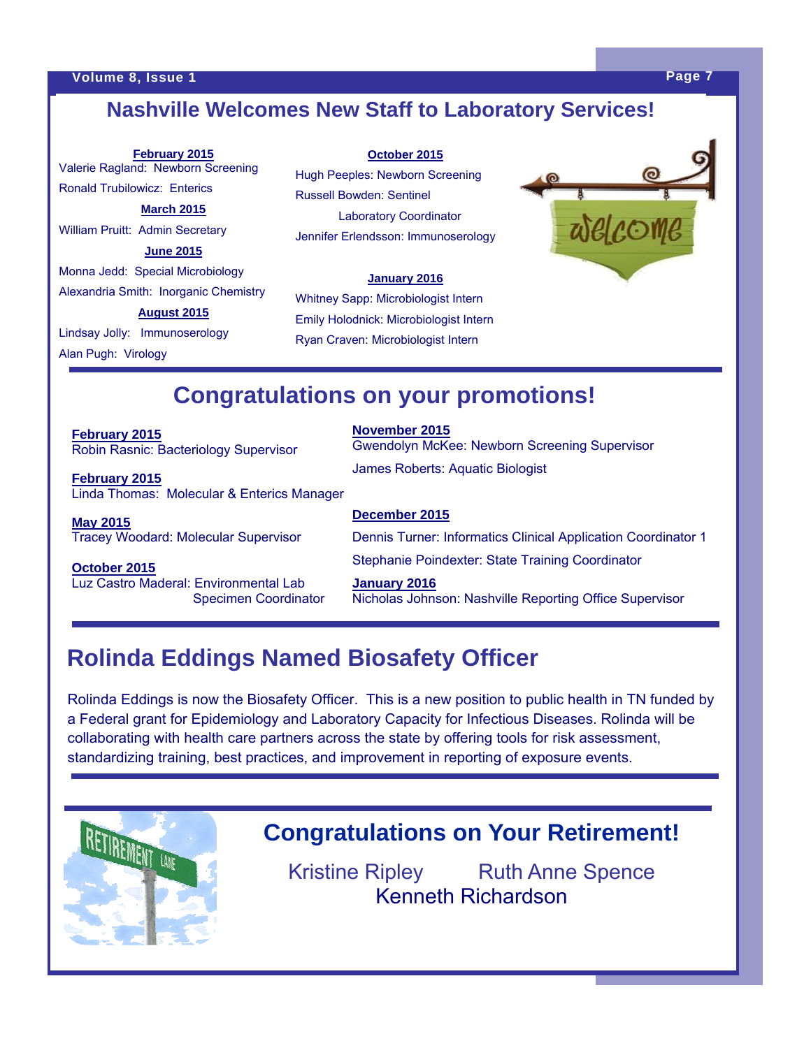# **Nashville Welcomes New Staff to Laboratory Services!**

**February 2015**  Valerie Ragland: Newborn Screening Ronald Trubilowicz: Enterics **March 2015**  William Pruitt: Admin Secretary **June 2015**  Monna Jedd: Special Microbiology Alexandria Smith: Inorganic Chemistry **August 2015** 

Lindsay Jolly: Immunoserology Alan Pugh: Virology

**October 2015**

Hugh Peeples: Newborn Screening Russell Bowden: Sentinel Laboratory Coordinator Jennifer Erlendsson: Immunoserology

### **January 2016**

Whitney Sapp: Microbiologist Intern Emily Holodnick: Microbiologist Intern Ryan Craven: Microbiologist Intern



# **Congratulations on your promotions!**

**February 2015**  Robin Rasnic: Bacteriology Supervisor

**February 2015**  Linda Thomas: Molecular & Enterics Manager

**May 2015**  Tracey Woodard: Molecular Supervisor

**October 2015**  Luz Castro Maderal: Environmental Lab Specimen Coordinator **November 2015** 

Gwendolyn McKee: Newborn Screening Supervisor James Roberts: Aquatic Biologist

#### **December 2015**

Dennis Turner: Informatics Clinical Application Coordinator 1 Stephanie Poindexter: State Training Coordinator

**January 2016**  Nicholas Johnson: Nashville Reporting Office Supervisor

# **Rolinda Eddings Named Biosafety Officer**

Rolinda Eddings is now the Biosafety Officer. This is a new position to public health in TN funded by a Federal grant for Epidemiology and Laboratory Capacity for Infectious Diseases. Rolinda will be collaborating with health care partners across the state by offering tools for risk assessment, standardizing training, best practices, and improvement in reporting of exposure events.



# **Congratulations on Your Retirement!**

Kristine Ripley Ruth Anne Spence Kenneth Richardson